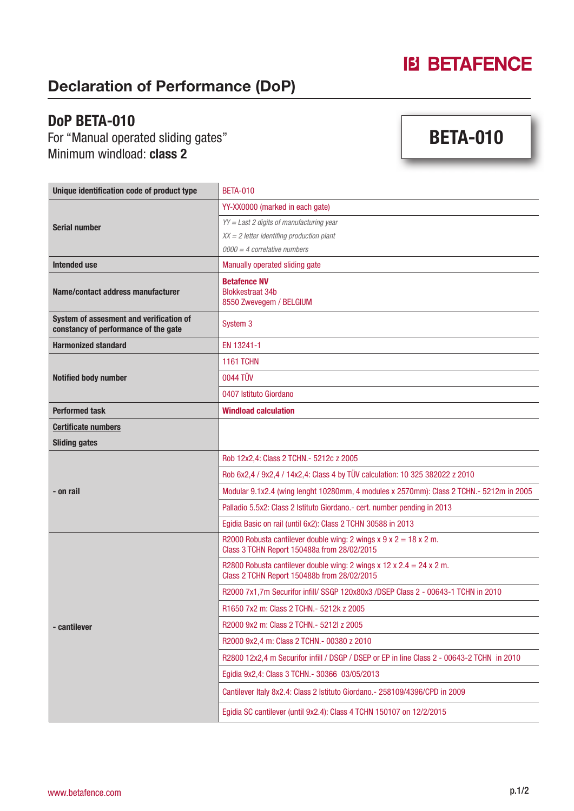# **IB BETAFENCE**

#### Declaration of Performance (DoP)

#### DoP BETA-010

For "Manual operated sliding gates" Minimum windload: **class 2** 

# BETA-010

| Unique identification code of product type                                      | <b>BETA-010</b>                                                                                                        |
|---------------------------------------------------------------------------------|------------------------------------------------------------------------------------------------------------------------|
| <b>Serial number</b>                                                            | YY-XX0000 (marked in each gate)                                                                                        |
|                                                                                 | YY = Last 2 digits of manufacturing year                                                                               |
|                                                                                 | $XX = 2$ letter identifing production plant                                                                            |
|                                                                                 | $0000 = 4$ correlative numbers                                                                                         |
| Intended use                                                                    | Manually operated sliding gate                                                                                         |
| Name/contact address manufacturer                                               | <b>Betafence NV</b><br><b>Blokkestraat 34b</b><br>8550 Zwevegem / BELGIUM                                              |
| System of assesment and verification of<br>constancy of performance of the gate | System 3                                                                                                               |
| <b>Harmonized standard</b>                                                      | EN 13241-1                                                                                                             |
| <b>Notified body number</b>                                                     | <b>1161 TCHN</b>                                                                                                       |
|                                                                                 | 0044 TÜV                                                                                                               |
|                                                                                 | 0407 Istituto Giordano                                                                                                 |
| <b>Performed task</b>                                                           | <b>Windload calculation</b>                                                                                            |
| <b>Certificate numbers</b>                                                      |                                                                                                                        |
| <b>Sliding gates</b>                                                            |                                                                                                                        |
| - on rail                                                                       | Rob 12x2,4: Class 2 TCHN.- 5212c z 2005                                                                                |
|                                                                                 | Rob 6x2,4 / 9x2,4 / 14x2,4: Class 4 by TÜV calculation: 10 325 382022 z 2010                                           |
|                                                                                 | Modular 9.1x2.4 (wing lenght 10280mm, 4 modules x 2570mm): Class 2 TCHN.- 5212m in 2005                                |
|                                                                                 | Palladio 5.5x2: Class 2 Istituto Giordano.- cert. number pending in 2013                                               |
|                                                                                 | Egidia Basic on rail (until 6x2): Class 2 TCHN 30588 in 2013                                                           |
| - cantilever                                                                    | R2000 Robusta cantilever double wing: 2 wings $x$ 9 $x$ 2 = 18 $x$ 2 m.<br>Class 3 TCHN Report 150488a from 28/02/2015 |
|                                                                                 | R2800 Robusta cantilever double wing: 2 wings x 12 x 2.4 = 24 x 2 m.<br>Class 2 TCHN Report 150488b from 28/02/2015    |
|                                                                                 | R2000 7x1,7m Securifor infill/ SSGP 120x80x3 /DSEP Class 2 - 00643-1 TCHN in 2010                                      |
|                                                                                 | R1650 7x2 m: Class 2 TCHN. - 5212k z 2005                                                                              |
|                                                                                 | R2000 9x2 m: Class 2 TCHN. - 5212l z 2005                                                                              |
|                                                                                 | R2000 9x2,4 m: Class 2 TCHN. - 00380 z 2010                                                                            |
|                                                                                 | R2800 12x2,4 m Securifor infill / DSGP / DSEP or EP in line Class 2 - 00643-2 TCHN in 2010                             |
|                                                                                 | Egidia 9x2,4: Class 3 TCHN.- 30366 03/05/2013                                                                          |
|                                                                                 | Cantilever Italy 8x2.4: Class 2 Istituto Giordano. - 258109/4396/CPD in 2009                                           |
|                                                                                 | Egidia SC cantilever (until 9x2.4): Class 4 TCHN 150107 on 12/2/2015                                                   |